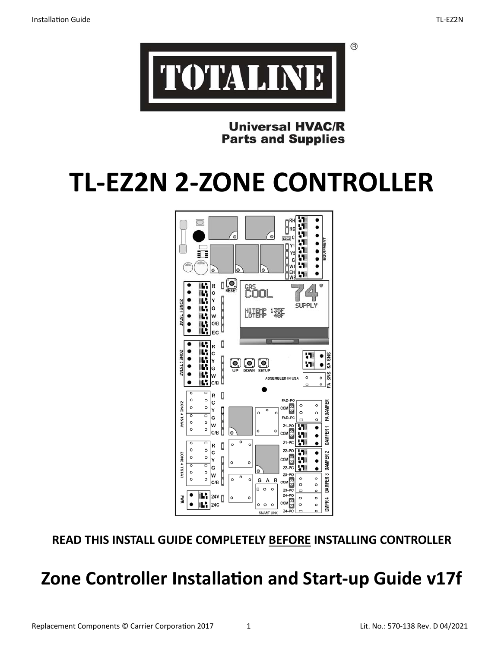



**Universal HVAC/R Parts and Supplies** 

# **TL‐EZ2N 2‐ZONE CONTROLLER**



**READ THIS INSTALL GUIDE COMPLETELY BEFORE INSTALLING CONTROLLER**

# **Zone Controller Installation and Start-up Guide v17f**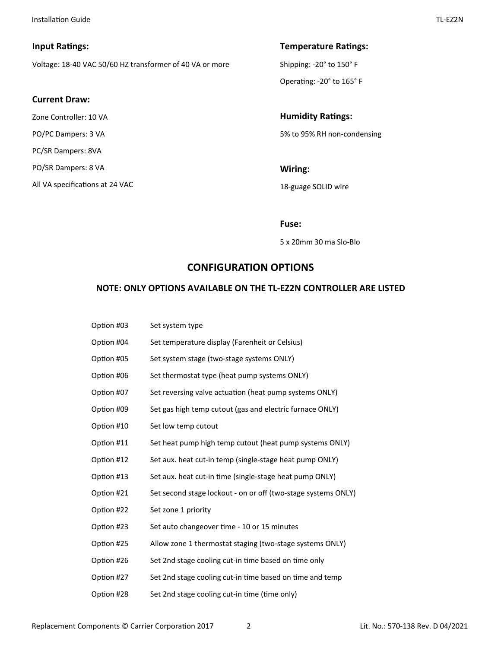#### **Input Ratings:**

Voltage: 18‐40 VAC 50/60 HZ transformer of 40 VA or more

#### **Current Draw:**

Zone Controller: 10 VA PO/PC Dampers: 3 VA PC/SR Dampers: 8VA PO/SR Dampers: 8 VA All VA specifications at 24 VAC

# **Temperature Ratings:** Shipping: ‐20° to 150° F

Operating: -20° to 165° F

**Humidity Ratings:** 5% to 95% RH non‐condensing

**Wiring:**  18‐guage SOLID wire

**Fuse:** 

5 x 20mm 30 ma Slo‐Blo

# **CONFIGURATION OPTIONS**

#### **NOTE: ONLY OPTIONS AVAILABLE ON THE TL‐EZ2N CONTROLLER ARE LISTED**

| Option #03 | Set system type                                               |
|------------|---------------------------------------------------------------|
| Option #04 | Set temperature display (Farenheit or Celsius)                |
| Option #05 | Set system stage (two-stage systems ONLY)                     |
| Option #06 | Set thermostat type (heat pump systems ONLY)                  |
| Option #07 | Set reversing valve actuation (heat pump systems ONLY)        |
| Option #09 | Set gas high temp cutout (gas and electric furnace ONLY)      |
| Option #10 | Set low temp cutout                                           |
| Option #11 | Set heat pump high temp cutout (heat pump systems ONLY)       |
| Option #12 | Set aux. heat cut-in temp (single-stage heat pump ONLY)       |
| Option #13 | Set aux. heat cut-in time (single-stage heat pump ONLY)       |
| Option #21 | Set second stage lockout - on or off (two-stage systems ONLY) |
| Option #22 | Set zone 1 priority                                           |
| Option #23 | Set auto changeover time - 10 or 15 minutes                   |
| Option #25 | Allow zone 1 thermostat staging (two-stage systems ONLY)      |
| Option #26 | Set 2nd stage cooling cut-in time based on time only          |
| Option #27 | Set 2nd stage cooling cut-in time based on time and temp      |
| Option #28 | Set 2nd stage cooling cut-in time (time only)                 |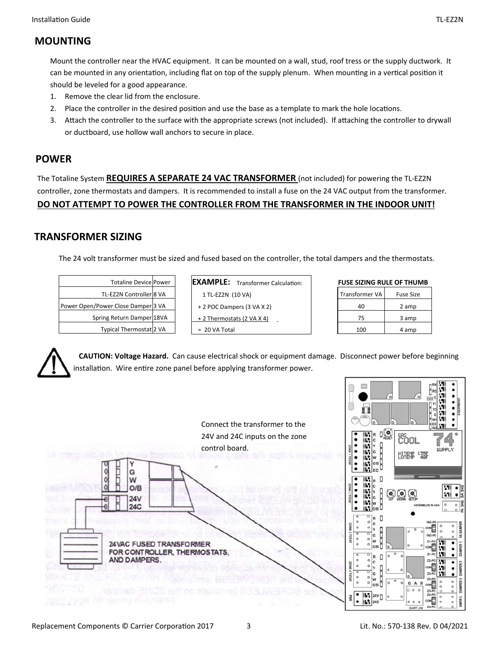# **MOUNTING**

Mount the controller near the HVAC equipment. It can be mounted on a wall, stud, roof tress or the supply ductwork. It can be mounted in any orientation, including flat on top of the supply plenum. When mounting in a vertical position it should be leveled for a good appearance.

- 1. Remove the clear lid from the enclosure.
- 2. Place the controller in the desired position and use the base as a template to mark the hole locations.
- 3. Attach the controller to the surface with the appropriate screws (not included). If attaching the controller to drywall or ductboard, use hollow wall anchors to secure in place.

# **POWER**

The Totaline System **REQUIRES A SEPARATE 24 VAC TRANSFORMER** (not included) for powering the TL‐EZ2N controller, zone thermostats and dampers. It is recommended to install a fuse on the 24 VAC output from the transformer. **DO NOT ATTEMPT TO POWER THE CONTROLLER FROM THE TRANSFORMER IN THE INDOOR UNIT!** 

# **TRANSFORMER SIZING**

The 24 volt transformer must be sized and fused based on the controller, the total dampers and the thermostats.

| <b>Totaline Device Power</b>       |  |
|------------------------------------|--|
| TL-EZ2N Controller 8 VA            |  |
| Power Open/Power Close Damper 3 VA |  |
| Spring Return Damper 18VA          |  |
| Typical Thermostat 2 VA            |  |

| <b>EXAMPLE:</b>            | Transformer Calculation: |
|----------------------------|--------------------------|
| 1 TL-EZ2N (10 VA)          |                          |
| + 2 POC Dampers (3 VA X 2) |                          |
| + 2 Thermostats (2 VA X 4) |                          |
| $= 20$ VA Total            |                          |

| Transformer VA | <b>Fuse Size</b> |
|----------------|------------------|
| 40             | 2 amp            |
| 75             | 3 amp            |
| 100            | 4 amp            |



 **CAUTION: Voltage Hazard.** Can cause electrical shock or equipment damage. Disconnect power before beginning installation. Wire entire zone panel before applying transformer power.

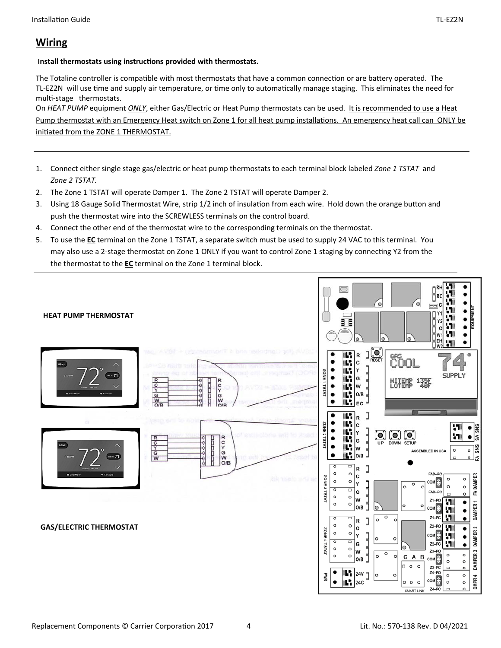# **Wiring**

#### **Install thermostats using instructions provided with thermostats.**

The Totaline controller is compatible with most thermostats that have a common connection or are battery operated. The TL-EZ2N will use time and supply air temperature, or time only to automatically manage staging. This eliminates the need for multi-stage thermostats.

On *HEAT PUMP* equipment *ONLY*, either Gas/Electric or Heat Pump thermostats can be used. It is recommended to use a Heat Pump thermostat with an Emergency Heat switch on Zone 1 for all heat pump installations. An emergency heat call can ONLY be initiated from the ZONE 1 THERMOSTAT.

- 1. Connect either single stage gas/electric or heat pump thermostats to each terminal block labeled *Zone 1 TSTAT*  and *Zone 2 TSTAT.*
- 2. The Zone 1 TSTAT will operate Damper 1. The Zone 2 TSTAT will operate Damper 2.
- 3. Using 18 Gauge Solid Thermostat Wire, strip 1/2 inch of insulation from each wire. Hold down the orange button and push the thermostat wire into the SCREWLESS terminals on the control board.
- 4. Connect the other end of the thermostat wire to the corresponding terminals on the thermostat.
- 5. To use the **EC** terminal on the Zone 1 TSTAT, a separate switch must be used to supply 24 VAC to this terminal. You may also use a 2-stage thermostat on Zone 1 ONLY if you want to control Zone 1 staging by connecting Y2 from the the thermostat to the **EC** terminal on the Zone 1 terminal block.

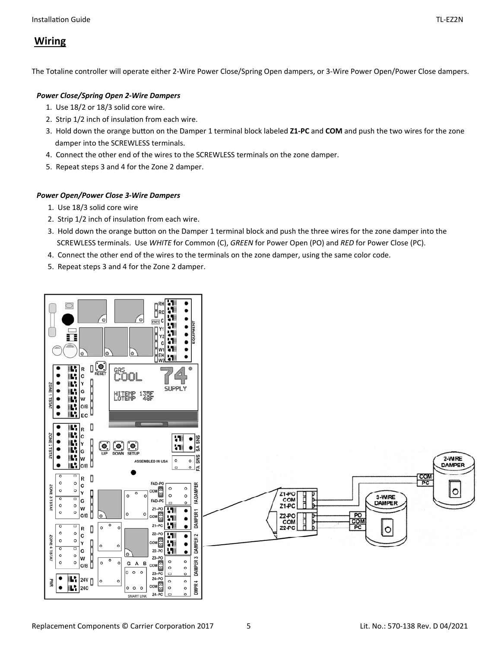The Totaline controller will operate either 2‐Wire Power Close/Spring Open dampers, or 3‐Wire Power Open/Power Close dampers.

#### *Power Close/Spring Open 2‐Wire Dampers*

- 1. Use 18/2 or 18/3 solid core wire.
- 2. Strip 1/2 inch of insulation from each wire.
- 3. Hold down the orange buƩon on the Damper 1 terminal block labeled **Z1‐PC** and **COM** and push the two wires for the zone damper into the SCREWLESS terminals.
- 4. Connect the other end of the wires to the SCREWLESS terminals on the zone damper.
- 5. Repeat steps 3 and 4 for the Zone 2 damper.

#### *Power Open/Power Close 3‐Wire Dampers*

- 1. Use 18/3 solid core wire
- 2. Strip 1/2 inch of insulation from each wire.
- 3. Hold down the orange button on the Damper 1 terminal block and push the three wires for the zone damper into the SCREWLESS terminals. Use *WHITE* for Common (C), *GREEN* for Power Open (PO) and *RED* for Power Close (PC).
- 4. Connect the other end of the wires to the terminals on the zone damper, using the same color code.
- 5. Repeat steps 3 and 4 for the Zone 2 damper.

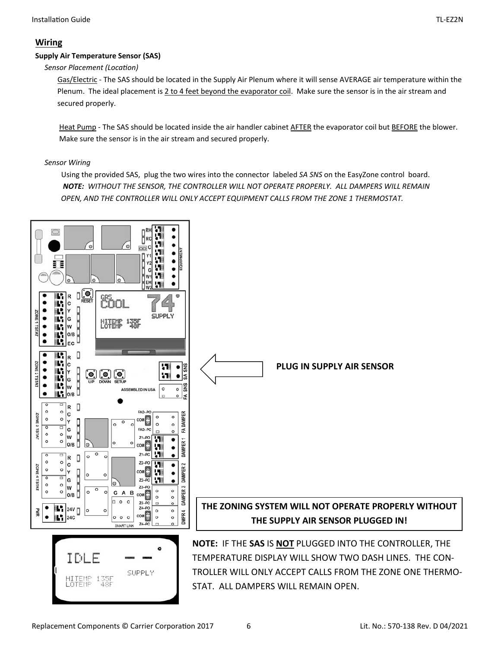# **Wiring**

#### **Supply Air Temperature Sensor (SAS)**

# **Sensor Placement (Location)**

Gas/Electric ‐ The SAS should be located in the Supply Air Plenum where it will sense AVERAGE air temperature within the Plenum. The ideal placement is 2 to 4 feet beyond the evaporator coil. Make sure the sensor is in the air stream and secured properly.

 Heat Pump ‐ The SAS should be located inside the air handler cabinet AFTER the evaporator coil but BEFORE the blower. Make sure the sensor is in the air stream and secured properly.

#### *Sensor Wiring*

Using the provided SAS, plug the two wires into the connector labeled *SA SNS* on the EasyZone control board. *NOTE: WITHOUT THE SENSOR, THE CONTROLLER WILL NOT OPERATE PROPERLY. ALL DAMPERS WILL REMAIN OPEN, AND THE CONTROLLER WILL ONLY ACCEPT EQUIPMENT CALLS FROM THE ZONE 1 THERMOSTAT.*

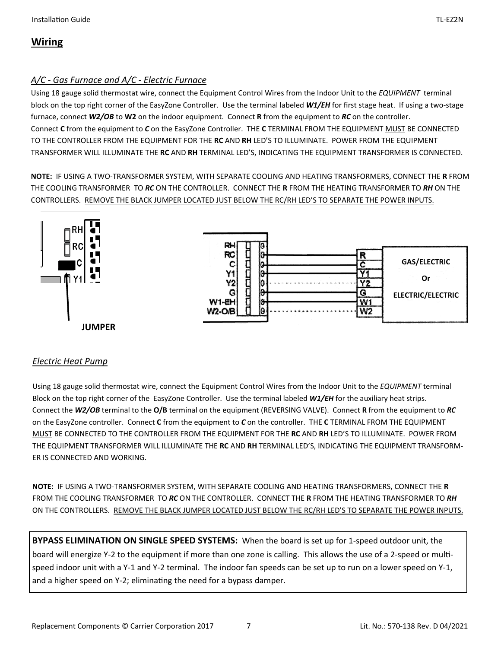# **Wiring**

# *A/C ‐ Gas Furnace and A/C ‐ Electric Furnace*

Using 18 gauge solid thermostat wire, connect the Equipment Control Wires from the Indoor Unit to the *EQUIPMENT* terminal block on the top right corner of the EasyZone Controller. Use the terminal labeled *W1/EH* for first stage heat. If using a two‐stage furnace, connect *W2/OB* to **W2** on the indoor equipment. Connect **R** from the equipment to *RC* on the controller. Connect **C** from the equipment to *C* on the EasyZone Controller. THE **C** TERMINAL FROM THE EQUIPMENT MUST BE CONNECTED TO THE CONTROLLER FROM THE EQUIPMENT FOR THE **RC** AND **RH** LED'S TO ILLUMINATE. POWER FROM THE EQUIPMENT TRANSFORMER WILL ILLUMINATE THE **RC** AND **RH** TERMINAL LED'S, INDICATING THE EQUIPMENT TRANSFORMER IS CONNECTED.

**NOTE:** IF USING A TWO‐TRANSFORMER SYSTEM, WITH SEPARATE COOLING AND HEATING TRANSFORMERS, CONNECT THE **R** FROM THE COOLING TRANSFORMER TO *RC* ON THE CONTROLLER. CONNECT THE **R** FROM THE HEATING TRANSFORMER TO *RH* ON THE CONTROLLERS. REMOVE THE BLACK JUMPER LOCATED JUST BELOW THE RC/RH LED'S TO SEPARATE THE POWER INPUTS.



# *Electric Heat Pump*

Using 18 gauge solid thermostat wire, connect the Equipment Control Wires from the Indoor Unit to the *EQUIPMENT* terminal Block on the top right corner of the EasyZone Controller. Use the terminal labeled *W1/EH* for the auxiliary heat strips. Connect the *W2/OB* terminal to the **O/B** terminal on the equipment (REVERSING VALVE). Connect **R** from the equipment to *RC* on the EasyZone controller. Connect **C** from the equipment to *C* on the controller. THE **C** TERMINAL FROM THE EQUIPMENT MUST BE CONNECTED TO THE CONTROLLER FROM THE EQUIPMENT FOR THE **RC** AND **RH** LED'S TO ILLUMINATE. POWER FROM THE EQUIPMENT TRANSFORMER WILL ILLUMINATE THE **RC** AND **RH** TERMINAL LED'S, INDICATING THE EQUIPMENT TRANSFORM‐ ER IS CONNECTED AND WORKING.

**NOTE:** IF USING A TWO‐TRANSFORMER SYSTEM, WITH SEPARATE COOLING AND HEATING TRANSFORMERS, CONNECT THE **R** FROM THE COOLING TRANSFORMER TO *RC* ON THE CONTROLLER. CONNECT THE **R** FROM THE HEATING TRANSFORMER TO *RH* ON THE CONTROLLERS. REMOVE THE BLACK JUMPER LOCATED JUST BELOW THE RC/RH LED'S TO SEPARATE THE POWER INPUTS.

**BYPASS ELIMINATION ON SINGLE SPEED SYSTEMS:** When the board is set up for 1‐speed outdoor unit, the board will energize Y-2 to the equipment if more than one zone is calling. This allows the use of a 2-speed or multispeed indoor unit with a Y-1 and Y-2 terminal. The indoor fan speeds can be set up to run on a lower speed on Y-1, and a higher speed on Y-2; eliminating the need for a bypass damper.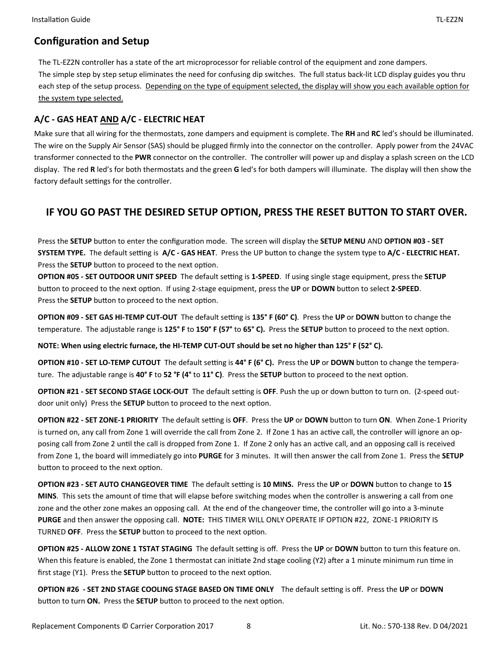# **Configuration and Setup**

The TL‐EZ2N controller has a state of the art microprocessor for reliable control of the equipment and zone dampers. The simple step by step setup eliminates the need for confusing dip switches. The full status back‐lit LCD display guides you thru each step of the setup process. Depending on the type of equipment selected, the display will show you each available option for the system type selected.

# **A/C ‐ GAS HEAT AND A/C ‐ ELECTRIC HEAT**

Make sure that all wiring for the thermostats, zone dampers and equipment is complete. The **RH** and **RC** led's should be illuminated. The wire on the Supply Air Sensor (SAS) should be plugged firmly into the connector on the controller. Apply power from the 24VAC transformer connected to the **PWR** connector on the controller. The controller will power up and display a splash screen on the LCD display. The red **R** led's for both thermostats and the green **G** led's for both dampers will illuminate. The display will then show the factory default settings for the controller.

# **IF YOU GO PAST THE DESIRED SETUP OPTION, PRESS THE RESET BUTTON TO START OVER.**

Press the SETUP button to enter the configuration mode. The screen will display the SETUP MENU AND OPTION #03 - SET SYSTEM TYPE. The default setting is A/C - GAS HEAT. Press the UP button to change the system type to A/C - ELECTRIC HEAT. Press the **SETUP** button to proceed to the next option.

**OPTION #05 - SET OUTDOOR UNIT SPEED** The default setting is 1-SPEED. If using single stage equipment, press the SETUP button to proceed to the next option. If using 2-stage equipment, press the UP or DOWN button to select 2-SPEED. Press the **SETUP** button to proceed to the next option.

**OPTION #09 - SET GAS HI-TEMP CUT-OUT** The default setting is 135° F (60° C). Press the UP or DOWN button to change the temperature. The adjustable range is 125° F to 150° F (57° to 65° C). Press the SETUP button to proceed to the next option.

**NOTE: When using electric furnace, the HI‐TEMP CUT‐OUT should be set no higher than 125° F (52° C).** 

**OPTION #10 - SET LO-TEMP CUTOUT** The default setting is 44° F (6° C). Press the UP or DOWN button to change the temperature. The adjustable range is 40° F to 52 °F (4° to 11° C). Press the SETUP button to proceed to the next option.

**OPTION #21 - SET SECOND STAGE LOCK-OUT** The default setting is OFF. Push the up or down button to turn on. (2-speed outdoor unit only) Press the **SETUP** button to proceed to the next option.

**OPTION #22 - SET ZONE-1 PRIORITY** The default setting is OFF. Press the UP or DOWN button to turn ON. When Zone-1 Priority is turned on, any call from Zone 1 will override the call from Zone 2. If Zone 1 has an active call, the controller will ignore an opposing call from Zone 2 until the call is dropped from Zone 1. If Zone 2 only has an active call, and an opposing call is received from Zone 1, the board will immediately go into **PURGE** for 3 minutes. It will then answer the call from Zone 1. Press the **SETUP** button to proceed to the next option.

**OPTION #23 - SET AUTO CHANGEOVER TIME** The default setting is 10 MINS. Press the UP or DOWN button to change to 15 **MINS**. This sets the amount of time that will elapse before switching modes when the controller is answering a call from one zone and the other zone makes an opposing call. At the end of the changeover time, the controller will go into a 3-minute **PURGE** and then answer the opposing call. **NOTE:** THIS TIMER WILL ONLY OPERATE IF OPTION #22, ZONE‐1 PRIORITY IS TURNED OFF. Press the SETUP button to proceed to the next option.

**OPTION #25 - ALLOW ZONE 1 TSTAT STAGING** The default setting is off. Press the UP or DOWN button to turn this feature on. When this feature is enabled, the Zone 1 thermostat can initiate 2nd stage cooling (Y2) after a 1 minute minimum run time in first stage (Y1). Press the **SETUP** button to proceed to the next option.

**OPTION #26 - SET 2ND STAGE COOLING STAGE BASED ON TIME ONLY** The default setting is off. Press the UP or DOWN button to turn ON. Press the SETUP button to proceed to the next option.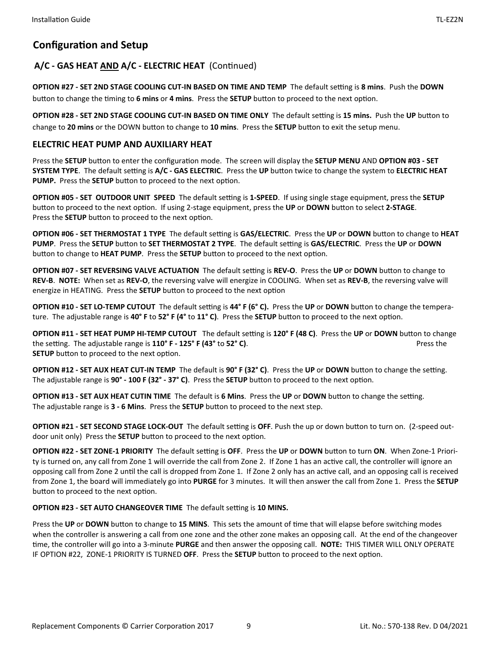# **Configuration and Setup**

# A/C - GAS HEAT AND A/C - ELECTRIC HEAT (Continued)

**OPTION #27 - SET 2ND STAGE COOLING CUT-IN BASED ON TIME AND TEMP** The default setting is 8 mins. Push the DOWN button to change the timing to 6 mins or 4 mins. Press the **SETUP** button to proceed to the next option.

**OPTION #28 - SET 2ND STAGE COOLING CUT-IN BASED ON TIME ONLY** The default setting is 15 mins. Push the UP button to change to 20 mins or the DOWN button to change to 10 mins. Press the **SETUP** button to exit the setup menu.

#### **ELECTRIC HEAT PUMP AND AUXILIARY HEAT**

Press the SETUP button to enter the configuration mode. The screen will display the SETUP MENU AND OPTION #03 - SET SYSTEM TYPE. The default setting is A/C - GAS ELECTRIC. Press the UP button twice to change the system to ELECTRIC HEAT **PUMP.** Press the **SETUP** button to proceed to the next option.

**OPTION #05 - SET OUTDOOR UNIT SPEED** The default setting is 1-SPEED. If using single stage equipment, press the SETUP button to proceed to the next option. If using 2-stage equipment, press the UP or DOWN button to select 2-STAGE. Press the **SETUP** button to proceed to the next option.

**OPTION #06 - SET THERMOSTAT 1 TYPE** The default setting is GAS/ELECTRIC. Press the UP or DOWN button to change to HEAT **PUMP**. Press the **SETUP** buƩon to **SET THERMOSTAT 2 TYPE**. The default seƫng is **GAS/ELECTRIC**. Press the **UP** or **DOWN** button to change to **HEAT PUMP**. Press the **SETUP** button to proceed to the next option.

**OPTION #07 - SET REVERSING VALVE ACTUATION** The default setting is REV-O. Press the UP or DOWN button to change to **REV‐B**. **NOTE:** When set as **REV‐O**, the reversing valve will energize in COOLING. When set as **REV‐B**, the reversing valve will energize in HEATING. Press the **SETUP** button to proceed to the next option

**OPTION #10 - SET LO-TEMP CUTOUT** The default setting is 44° F (6° C). Press the UP or DOWN button to change the temperature. The adjustable range is 40° F to 52° F (4° to 11° C). Press the **SETUP** button to proceed to the next option.

**OPTION #11 - SET HEAT PUMP HI-TEMP CUTOUT** The default setting is 120° F (48 C). Press the UP or DOWN button to change the setting. The adjustable range is **110° F - 125° F (43°** to **52° C)**. Press the **Press** the **SETUP** button to proceed to the next option.

**OPTION #12 - SET AUX HEAT CUT-IN TEMP** The default is 90° F (32° C). Press the UP or DOWN button to change the setting. The adjustable range is **90° - 100 F (32° - 37° C)**. Press the **SETUP** button to proceed to the next option.

**OPTION #13 - SET AUX HEAT CUTIN TIME** The default is 6 Mins. Press the UP or DOWN button to change the setting. The adjustable range is **3 - 6 Mins**. Press the **SETUP** button to proceed to the next step.

**OPTION #21 - SET SECOND STAGE LOCK-OUT** The default setting is OFF. Push the up or down button to turn on. (2-speed outdoor unit only) Press the **SETUP** button to proceed to the next option.

**OPTION #22 - SET ZONE-1 PRIORITY** The default setting is OFF. Press the UP or DOWN button to turn ON. When Zone-1 Priority is turned on, any call from Zone 1 will override the call from Zone 2. If Zone 1 has an active call, the controller will ignore an opposing call from Zone 2 until the call is dropped from Zone 1. If Zone 2 only has an active call, and an opposing call is received from Zone 1, the board will immediately go into **PURGE** for 3 minutes. It will then answer the call from Zone 1. Press the **SETUP** button to proceed to the next option.

**OPTION #23 - SET AUTO CHANGEOVER TIME** The default setting is 10 MINS.

Press the UP or DOWN button to change to 15 MINS. This sets the amount of time that will elapse before switching modes when the controller is answering a call from one zone and the other zone makes an opposing call. At the end of the changeover Ɵme, the controller will go into a 3‐minute **PURGE** and then answer the opposing call. **NOTE:** THIS TIMER WILL ONLY OPERATE IF OPTION #22, ZONE-1 PRIORITY IS TURNED OFF. Press the **SETUP** button to proceed to the next option.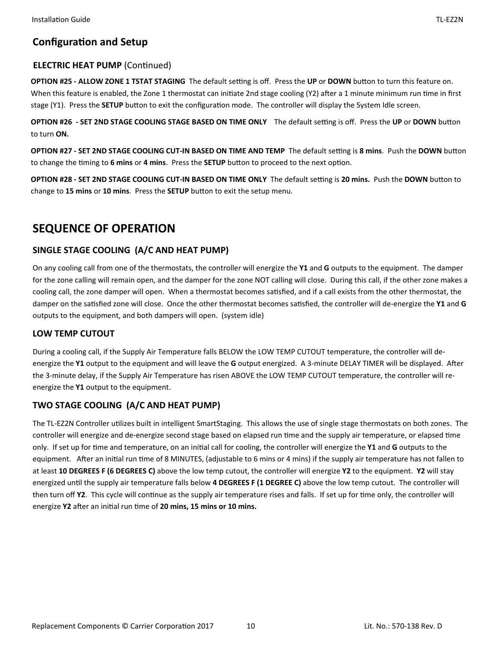# **Configuration and Setup**

# **ELECTRIC HEAT PUMP (Continued)**

**OPTION #25 - ALLOW ZONE 1 TSTAT STAGING** The default setting is off. Press the UP or DOWN button to turn this feature on. When this feature is enabled, the Zone 1 thermostat can initiate 2nd stage cooling (Y2) after a 1 minute minimum run time in first stage (Y1). Press the **SETUP** button to exit the configuration mode. The controller will display the System Idle screen.

**OPTION #26 - SET 2ND STAGE COOLING STAGE BASED ON TIME ONLY** The default setting is off. Press the UP or DOWN button to turn **ON.**

**OPTION #27 - SET 2ND STAGE COOLING CUT-IN BASED ON TIME AND TEMP** The default setting is 8 mins. Push the DOWN button to change the timing to 6 mins or 4 mins. Press the SETUP button to proceed to the next option.

**OPTION #28 - SET 2ND STAGE COOLING CUT-IN BASED ON TIME ONLY The default setting is 20 mins. Push the DOWN** button to change to 15 mins or 10 mins. Press the SETUP button to exit the setup menu.

# **SEQUENCE OF OPERATION**

# **SINGLE STAGE COOLING (A/C AND HEAT PUMP)**

On any cooling call from one of the thermostats, the controller will energize the **Y1** and **G** outputs to the equipment. The damper for the zone calling will remain open, and the damper for the zone NOT calling will close. During this call, if the other zone makes a cooling call, the zone damper will open. When a thermostat becomes satisfied, and if a call exists from the other thermostat, the damper on the satisfied zone will close. Once the other thermostat becomes satisfied, the controller will de-energize the Y1 and G outputs to the equipment, and both dampers will open. (system idle)

# **LOW TEMP CUTOUT**

During a cooling call, if the Supply Air Temperature falls BELOW the LOW TEMP CUTOUT temperature, the controller will de‐ energize the Y1 output to the equipment and will leave the G output energized. A 3-minute DELAY TIMER will be displayed. After the 3-minute delay, if the Supply Air Temperature has risen ABOVE the LOW TEMP CUTOUT temperature, the controller will reenergize the **Y1** output to the equipment.

# **TWO STAGE COOLING (A/C AND HEAT PUMP)**

The TL-EZ2N Controller utilizes built in intelligent SmartStaging. This allows the use of single stage thermostats on both zones. The controller will energize and de-energize second stage based on elapsed run time and the supply air temperature, or elapsed time only. If set up for time and temperature, on an initial call for cooling, the controller will energize the Y1 and G outputs to the equipment. After an initial run time of 8 MINUTES, (adjustable to 6 mins or 4 mins) if the supply air temperature has not fallen to at least **10 DEGREES F (6 DEGREES C)** above the low temp cutout, the controller will energize **Y2** to the equipment. **Y2** will stay energized unƟl the supply air temperature falls below **4 DEGREES F (1 DEGREE C)** above the low temp cutout. The controller will then turn off Y2. This cycle will continue as the supply air temperature rises and falls. If set up for time only, the controller will energize Y2 after an initial run time of 20 mins, 15 mins or 10 mins.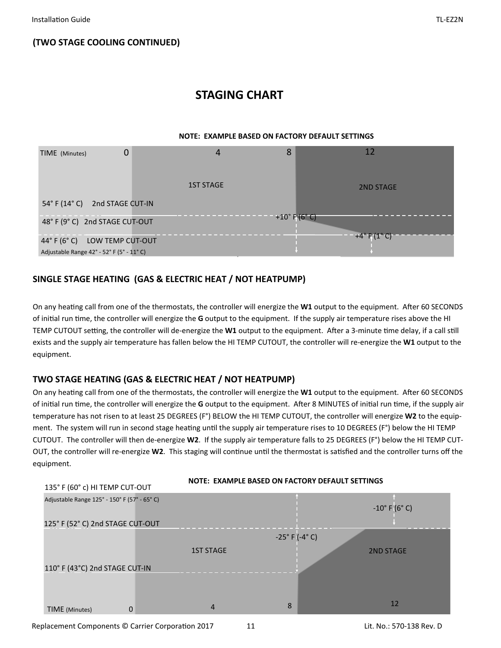# **STAGING CHART**

#### **NOTE: EXAMPLE BASED ON FACTORY DEFAULT SETTINGS**



# **SINGLE STAGE HEATING (GAS & ELECTRIC HEAT / NOT HEATPUMP)**

On any heating call from one of the thermostats, the controller will energize the W1 output to the equipment. After 60 SECONDS of initial run time, the controller will energize the G output to the equipment. If the supply air temperature rises above the HI TEMP CUTOUT setting, the controller will de-energize the **W1** output to the equipment. After a 3-minute time delay, if a call still exists and the supply air temperature has fallen below the HI TEMP CUTOUT, the controller will re‐energize the **W1** output to the equipment.

# **TWO STAGE HEATING (GAS & ELECTRIC HEAT / NOT HEATPUMP)**

On any heating call from one of the thermostats, the controller will energize the W1 output to the equipment. After 60 SECONDS of initial run time, the controller will energize the G output to the equipment. After 8 MINUTES of initial run time, if the supply air temperature has not risen to at least 25 DEGREES (F°) BELOW the HI TEMP CUTOUT, the controller will energize **W2** to the equip‐ ment. The system will run in second stage heating until the supply air temperature rises to 10 DEGREES (F°) below the HI TEMP CUTOUT. The controller will then de‐energize **W2**. If the supply air temperature falls to 25 DEGREES (F°) below the HI TEMP CUT‐ OUT, the controller will re-energize W2. This staging will continue until the thermostat is satisfied and the controller turns off the equipment.



Replacement Components © Carrier Corporation 2017 11 1 Lit. No.: 570-138 Rev. D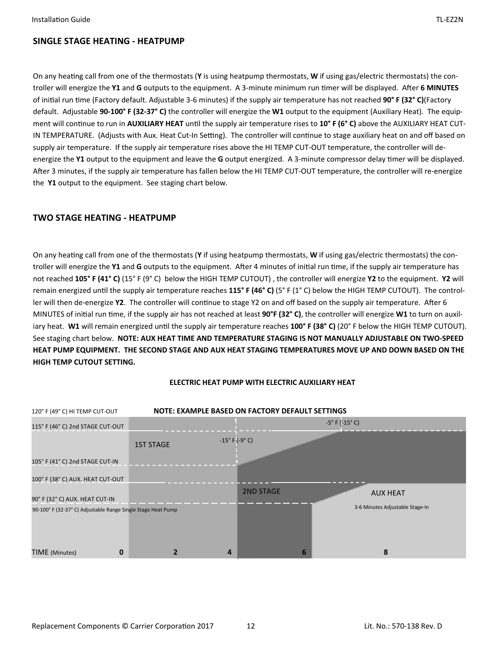On any heating call from one of the thermostats (Y is using heatpump thermostats, W if using gas/electric thermostats) the controller will energize the Y1 and G outputs to the equipment. A 3-minute minimum run timer will be displayed. After 6 MINUTES of initial run time (Factory default. Adjustable 3-6 minutes) if the supply air temperature has not reached **90° F (32° C)**(Factory default. Adjustable **90‐100° F (32‐37° C)** the controller will energize the **W1** output to the equipment (Auxiliary Heat). The equip‐ ment will continue to run in **AUXILIARY HEAT** until the supply air temperature rises to 10° F (6° C) above the AUXILIARY HEAT CUT-IN TEMPERATURE. (Adjusts with Aux. Heat Cut-In Setting). The controller will continue to stage auxiliary heat on and off based on supply air temperature. If the supply air temperature rises above the HI TEMP CUT-OUT temperature, the controller will deenergize the Y1 output to the equipment and leave the G output energized. A 3-minute compressor delay timer will be displayed. After 3 minutes, if the supply air temperature has fallen below the HI TEMP CUT-OUT temperature, the controller will re-energize the **Y1** output to the equipment. See staging chart below.

# **TWO STAGE HEATING ‐ HEATPUMP**

On any heating call from one of the thermostats (Y if using heatpump thermostats, W if using gas/electric thermostats) the controller will energize the Y1 and G outputs to the equipment. After 4 minutes of initial run time, if the supply air temperature has not reached **105° F (41° C)** (15° F (9° C) below the HIGH TEMP CUTOUT) , the controller will energize **Y2** to the equipment. **Y2** will remain energized until the supply air temperature reaches 115° F (46° C) (5° F (1° C) below the HIGH TEMP CUTOUT). The controller will then de-energize Y2. The controller will continue to stage Y2 on and off based on the supply air temperature. After 6 MINUTES of initial run time, if the supply air has not reached at least 90°F (32° C), the controller will energize W1 to turn on auxiliary heat. W1 will remain energized until the supply air temperature reaches 100° F (38° C) (20° F below the HIGH TEMP CUTOUT). See staging chart below. **NOTE: AUX HEAT TIME AND TEMPERATURE STAGING IS NOT MANUALLY ADJUSTABLE ON TWO‐SPEED HEAT PUMP EQUIPMENT. THE SECOND STAGE AND AUX HEAT STAGING TEMPERATURES MOVE UP AND DOWN BASED ON THE HIGH TEMP CUTOUT SETTING.** 



#### **ELECTRIC HEAT PUMP WITH ELECTRIC AUXILIARY HEAT**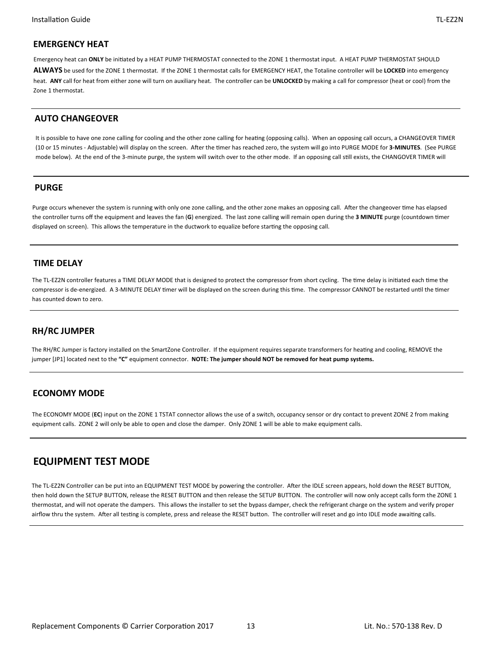#### **EMERGENCY HEAT**

Emergency heat can ONLY be initiated by a HEAT PUMP THERMOSTAT connected to the ZONE 1 thermostat input. A HEAT PUMP THERMOSTAT SHOULD **ALWAYS** be used for the ZONE 1 thermostat. If the ZONE 1 thermostat calls for EMERGENCY HEAT, the Totaline controller will be **LOCKED** into emergency heat. **ANY** call for heat from either zone will turn on auxiliary heat. The controller can be **UNLOCKED** by making a call for compressor (heat or cool) from the Zone 1 thermostat.

#### **AUTO CHANGEOVER**

It is possible to have one zone calling for cooling and the other zone calling for heating (opposing calls). When an opposing call occurs, a CHANGEOVER TIMER (10 or 15 minutes - Adjustable) will display on the screen. After the timer has reached zero, the system will go into PURGE MODE for 3-MINUTES. (See PURGE mode below). At the end of the 3-minute purge, the system will switch over to the other mode. If an opposing call still exists, the CHANGOVER TIMER will

#### **PURGE**

Purge occurs whenever the system is running with only one zone calling, and the other zone makes an opposing call. After the changeover time has elapsed the controller turns off the equipment and leaves the fan (G) energized. The last zone calling will remain open during the 3 MINUTE purge (countdown timer displayed on screen). This allows the temperature in the ductwork to equalize before starting the opposing call.

#### **TIME DELAY**

The TL-EZ2N controller features a TIME DELAY MODE that is designed to protect the compressor from short cycling. The time delay is initiated each time the compressor is de-energized. A 3-MINUTE DELAY timer will be displayed on the screen during this time. The compressor CANNOT be restarted until the timer has counted down to zero.

# **RH/RC JUMPER**

The RH/RC Jumper is factory installed on the SmartZone Controller. If the equipment requires separate transformers for heating and cooling, REMOVE the jumper [JP1] located next to the **"C"** equipment connector. **NOTE: The jumper should NOT be removed for heat pump systems.** 

#### **ECONOMY MODE**

The ECONOMY MODE (**EC**) input on the ZONE 1 TSTAT connector allows the use of a switch, occupancy sensor or dry contact to prevent ZONE 2 from making equipment calls. ZONE 2 will only be able to open and close the damper. Only ZONE 1 will be able to make equipment calls.

# **EQUIPMENT TEST MODE**

The TL-EZ2N Controller can be put into an EQUIPMENT TEST MODE by powering the controller. After the IDLE screen appears, hold down the RESET BUTTON, then hold down the SETUP BUTTON, release the RESET BUTTON and then release the SETUP BUTTON. The controller will now only accept calls form the ZONE 1 thermostat, and will not operate the dampers. This allows the installer to set the bypass damper, check the refrigerant charge on the system and verify proper airflow thru the system. After all testing is complete, press and release the RESET button. The controller will reset and go into IDLE mode awaiting calls.